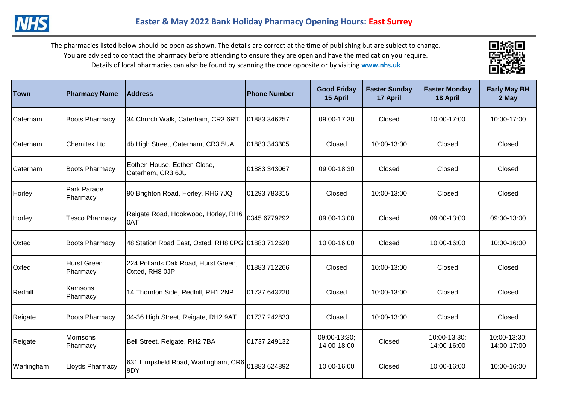



| lTown           | <b>Pharmacy Name</b>         | <b>Address</b>                                        | <b>Phone Number</b> | <b>Good Friday</b><br>15 April | <b>Easter Sunday</b><br>17 April | <b>Easter Monday</b><br>18 April | <b>Early May BH</b><br>2 May |
|-----------------|------------------------------|-------------------------------------------------------|---------------------|--------------------------------|----------------------------------|----------------------------------|------------------------------|
| Caterham        | <b>Boots Pharmacy</b>        | 34 Church Walk, Caterham, CR3 6RT                     | 01883 346257        | 09:00-17:30                    | Closed                           | 10:00-17:00                      | 10:00-17:00                  |
| <b>Caterham</b> | <b>Chemitex Ltd</b>          | 4b High Street, Caterham, CR3 5UA                     | 01883 343305        | Closed                         | 10:00-13:00                      | Closed                           | Closed                       |
| <b>Caterham</b> | <b>Boots Pharmacy</b>        | Eothen House, Eothen Close,<br>Caterham, CR3 6JU      | 01883 343067        | 09:00-18:30                    | Closed                           | Closed                           | Closed                       |
| Horley          | Park Parade<br>Pharmacy      | 90 Brighton Road, Horley, RH6 7JQ                     | 01293 783315        | Closed                         | 10:00-13:00                      | Closed                           | Closed                       |
| Horley          | <b>Tesco Pharmacy</b>        | Reigate Road, Hookwood, Horley, RH6<br>0AT            | 0345 6779292        | 09:00-13:00                    | Closed                           | 09:00-13:00                      | 09:00-13:00                  |
| Oxted           | <b>Boots Pharmacy</b>        | 48 Station Road East, Oxted, RH8 0PG 01883 712620     |                     | 10:00-16:00                    | Closed                           | 10:00-16:00                      | 10:00-16:00                  |
| <b>Oxted</b>    | Hurst Green<br>Pharmacy      | 224 Pollards Oak Road, Hurst Green,<br>Oxted, RH8 0JP | 01883 712266        | Closed                         | 10:00-13:00                      | Closed                           | Closed                       |
| Redhill         | Kamsons<br>Pharmacy          | 14 Thornton Side, Redhill, RH1 2NP                    | 01737 643220        | Closed                         | 10:00-13:00                      | Closed                           | Closed                       |
| Reigate         | <b>Boots Pharmacy</b>        | 34-36 High Street, Reigate, RH2 9AT                   | 01737 242833        | Closed                         | 10:00-13:00                      | Closed                           | Closed                       |
| Reigate         | <b>Morrisons</b><br>Pharmacy | Bell Street, Reigate, RH2 7BA                         | 01737 249132        | 09:00-13:30;<br>14:00-18:00    | Closed                           | 10:00-13:30;<br>14:00-16:00      | 10:00-13:30;<br>14:00-17:00  |
| Warlingham      | <b>Lloyds Pharmacy</b>       | 631 Limpsfield Road, Warlingham, CR6<br>9DY           | 01883 624892        | 10:00-16:00                    | Closed                           | 10:00-16:00                      | 10:00-16:00                  |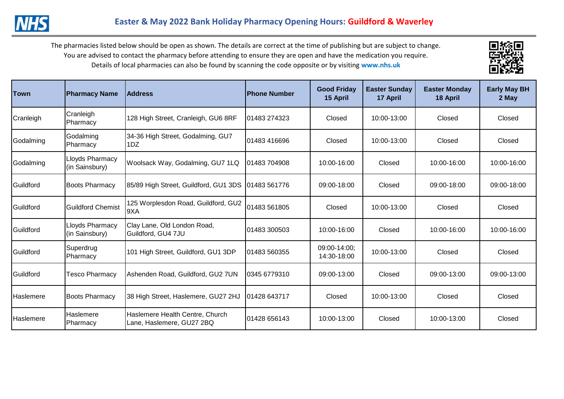

| lTown            | <b>Pharmacy Name</b>                     | <b>Address</b>                                               | <b>Phone Number</b> | <b>Good Friday</b><br>15 April | <b>Easter Sunday</b><br>17 April | <b>Easter Monday</b><br>18 April | <b>Early May BH</b><br>2 May |
|------------------|------------------------------------------|--------------------------------------------------------------|---------------------|--------------------------------|----------------------------------|----------------------------------|------------------------------|
| Cranleigh        | Cranleigh<br>Pharmacy                    | 128 High Street, Cranleigh, GU6 8RF                          | 01483 274323        | Closed                         | 10:00-13:00                      | Closed                           | Closed                       |
| Godalming        | Godalming<br>Pharmacy                    | 34-36 High Street, Godalming, GU7<br>1DZ                     | 01483 416696        | Closed                         | 10:00-13:00                      | Closed                           | Closed                       |
| Godalming        | Lloyds Pharmacy<br>(in Sainsbury)        | Woolsack Way, Godalming, GU7 1LQ                             | 01483 704908        | 10:00-16:00                    | Closed                           | 10:00-16:00                      | 10:00-16:00                  |
| Guildford        | <b>Boots Pharmacy</b>                    | 85/89 High Street, Guildford, GU1 3DS                        | 01483 561776        | 09:00-18:00                    | Closed                           | 09:00-18:00                      | 09:00-18:00                  |
| Guildford        | <b>Guildford Chemist</b>                 | 125 Worplesdon Road, Guildford, GU2<br>9XA                   | 01483 561805        | Closed                         | 10:00-13:00                      | Closed                           | Closed                       |
| Guildford        | <b>Lloyds Pharmacy</b><br>(in Sainsbury) | Clay Lane, Old London Road,<br>Guildford, GU4 7JU            | 01483 300503        | 10:00-16:00                    | Closed                           | 10:00-16:00                      | 10:00-16:00                  |
| Guildford        | Superdrug<br>Pharmacy                    | 101 High Street, Guildford, GU1 3DP                          | 101483 560355       | 09:00-14:00:<br>14:30-18:00    | 10:00-13:00                      | Closed                           | Closed                       |
| Guildford        | <b>Tesco Pharmacy</b>                    | Ashenden Road, Guildford, GU2 7UN                            | 0345 6779310        | 09:00-13:00                    | Closed                           | 09:00-13:00                      | 09:00-13:00                  |
| <b>Haslemere</b> | <b>Boots Pharmacy</b>                    | 38 High Street, Haslemere, GU27 2HJ                          | 01428 643717        | Closed                         | 10:00-13:00                      | Closed                           | Closed                       |
| <b>Haslemere</b> | Haslemere<br>Pharmacy                    | Haslemere Health Centre, Church<br>Lane, Haslemere, GU27 2BQ | 01428 656143        | 10:00-13:00                    | Closed                           | 10:00-13:00                      | Closed                       |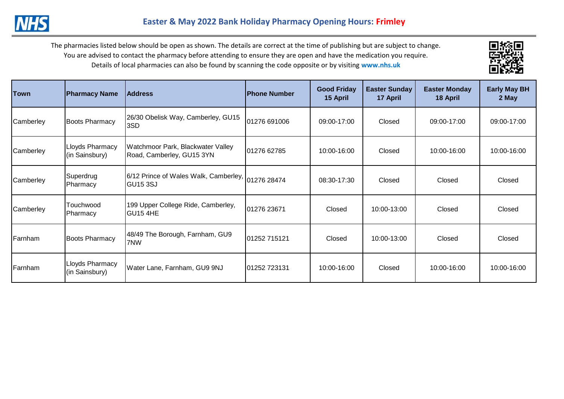



| <b>Town</b> | <b>Pharmacy Name</b>                     | <b>Address</b>                                                 | <b>Phone Number</b> | <b>Good Friday</b><br>15 April | <b>Easter Sunday</b><br>17 April | <b>Easter Monday</b><br>18 April | <b>Early May BH</b><br>2 May |
|-------------|------------------------------------------|----------------------------------------------------------------|---------------------|--------------------------------|----------------------------------|----------------------------------|------------------------------|
| Camberley   | <b>Boots Pharmacy</b>                    | 26/30 Obelisk Way, Camberley, GU15<br>3SD                      | 01276 691006        | 09:00-17:00                    | Closed                           | 09:00-17:00                      | 09:00-17:00                  |
| Camberley   | Lloyds Pharmacy<br>(in Sainsbury)        | Watchmoor Park, Blackwater Valley<br>Road, Camberley, GU15 3YN | 01276 62785         | 10:00-16:00                    | Closed                           | 10:00-16:00                      | 10:00-16:00                  |
| Camberley   | Superdrug<br>Pharmacy                    | 6/12 Prince of Wales Walk, Camberley, 01276 28474<br>IGU15 3SJ |                     | 08:30-17:30                    | Closed                           | Closed                           | Closed                       |
| Camberley   | Touchwood<br>Pharmacy                    | 199 Upper College Ride, Camberley,<br>GU15 4HE                 | 01276 23671         | Closed                         | 10:00-13:00                      | Closed                           | Closed                       |
| Farnham     | <b>Boots Pharmacy</b>                    | 48/49 The Borough, Farnham, GU9<br>7NW                         | 01252 715121        | Closed                         | 10:00-13:00                      | Closed                           | Closed                       |
| Farnham     | <b>Lloyds Pharmacy</b><br>(in Sainsbury) | Water Lane, Farnham, GU9 9NJ                                   | 101252 723131       | 10:00-16:00                    | Closed                           | 10:00-16:00                      | 10:00-16:00                  |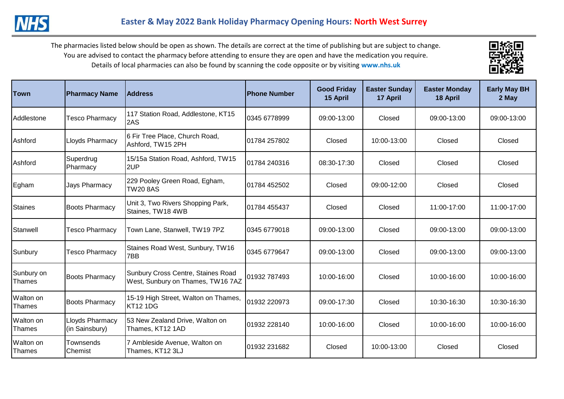

| Town                 | <b>Pharmacy Name</b>              | <b>Address</b>                                                          | <b>Phone Number</b> | <b>Good Friday</b><br>15 April | <b>Easter Sunday</b><br>17 April | <b>Easter Monday</b><br>18 April | <b>Early May BH</b><br>2 May |
|----------------------|-----------------------------------|-------------------------------------------------------------------------|---------------------|--------------------------------|----------------------------------|----------------------------------|------------------------------|
| Addlestone           | <b>Tesco Pharmacy</b>             | 117 Station Road, Addlestone, KT15<br>2AS                               | 0345 6778999        | 09:00-13:00                    | Closed                           | 09:00-13:00                      | 09:00-13:00                  |
| Ashford              | Lloyds Pharmacy                   | 6 Fir Tree Place, Church Road,<br>Ashford, TW15 2PH                     | 01784 257802        | Closed                         | 10:00-13:00                      | Closed                           | Closed                       |
| Ashford              | Superdrug<br>Pharmacy             | 15/15a Station Road, Ashford, TW15<br>2UP                               | 01784 240316        | 08:30-17:30                    | Closed                           | Closed                           | Closed                       |
| Egham                | Jays Pharmacy                     | 229 Pooley Green Road, Egham,<br><b>TW20 8AS</b>                        | 01784 452502        | Closed                         | 09:00-12:00                      | Closed                           | Closed                       |
| Staines              | <b>Boots Pharmacy</b>             | Unit 3, Two Rivers Shopping Park,<br>Staines, TW18 4WB                  | 01784 455437        | Closed                         | Closed                           | 11:00-17:00                      | 11:00-17:00                  |
| Stanwell             | <b>Tesco Pharmacy</b>             | Town Lane, Stanwell, TW19 7PZ                                           | 10345 6779018       | 09:00-13:00                    | Closed                           | 09:00-13:00                      | 09:00-13:00                  |
| Sunbury              | <b>Tesco Pharmacy</b>             | Staines Road West, Sunbury, TW16<br>7BB                                 | 0345 6779647        | 09:00-13:00                    | Closed                           | 09:00-13:00                      | 09:00-13:00                  |
| Sunbury on<br>Thames | <b>Boots Pharmacy</b>             | Sunbury Cross Centre, Staines Road<br>West, Sunbury on Thames, TW16 7AZ | 01932 787493        | 10:00-16:00                    | Closed                           | 10:00-16:00                      | 10:00-16:00                  |
| Walton on<br>Thames  | <b>Boots Pharmacy</b>             | 15-19 High Street, Walton on Thames,<br><b>KT12 1DG</b>                 | 01932 220973        | 09:00-17:30                    | Closed                           | 10:30-16:30                      | 10:30-16:30                  |
| Walton on<br>Thames  | Lloyds Pharmacy<br>(in Sainsbury) | 53 New Zealand Drive, Walton on<br>Thames, KT12 1AD                     | 01932 228140        | 10:00-16:00                    | Closed                           | 10:00-16:00                      | 10:00-16:00                  |
| Walton on<br>Thames  | Townsends<br>Chemist              | 7 Ambleside Avenue, Walton on<br>Thames, KT12 3LJ                       | 01932 231682        | Closed                         | 10:00-13:00                      | Closed                           | Closed                       |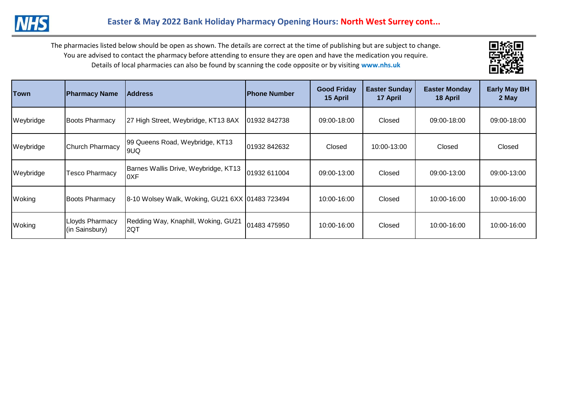

| <b>Town</b> | <b>Pharmacy Name</b>              | <b>Address</b>                                  | lPhone Number | <b>Good Friday</b><br>15 April | <b>Easter Sunday</b><br>17 April | <b>Easter Monday</b><br>18 April | <b>Early May BH</b><br>2 May |
|-------------|-----------------------------------|-------------------------------------------------|---------------|--------------------------------|----------------------------------|----------------------------------|------------------------------|
| Weybridge   | <b>Boots Pharmacy</b>             | 27 High Street, Weybridge, KT13 8AX             | 01932 842738  | 09:00-18:00                    | Closed                           | 09:00-18:00                      | 09:00-18:00                  |
| Weybridge   | Church Pharmacy                   | 99 Queens Road, Weybridge, KT13<br>9UQ          | 101932 842632 | Closed                         | 10:00-13:00                      | Closed                           | Closed                       |
| Weybridge   | <b>Tesco Pharmacy</b>             | Barnes Wallis Drive, Weybridge, KT13<br>0XF     | 01932 611004  | 09:00-13:00                    | Closed                           | 09:00-13:00                      | 09:00-13:00                  |
| Woking      | <b>Boots Pharmacy</b>             | 8-10 Wolsey Walk, Woking, GU21 6XX 01483 723494 |               | 10:00-16:00                    | Closed                           | 10:00-16:00                      | 10:00-16:00                  |
| Woking      | Lloyds Pharmacy<br>(in Sainsbury) | Redding Way, Knaphill, Woking, GU21<br>2QT      | 01483 475950  | 10:00-16:00                    | Closed                           | 10:00-16:00                      | 10:00-16:00                  |